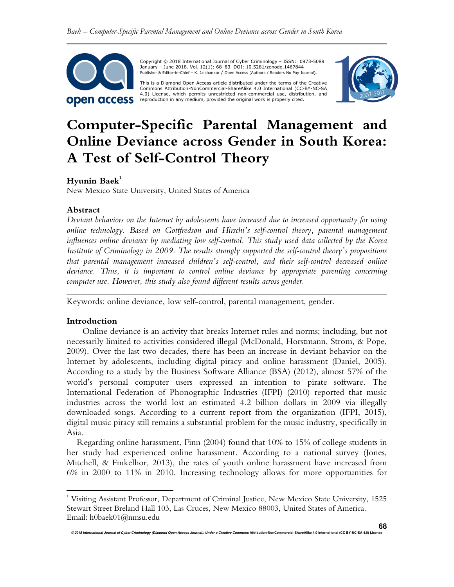

 Copyright © 2018 International Journal of Cyber Criminology – ISSN: 0973-5089 January – June 2018. Vol. 12(1): 68–83. DOI: 10.5281/zenodo.1467844 Publisher & Editor-in-Chief – K. Jaishankar / Open Access (Authors / Readers No Pay Journal).

This is a Diamond Open Access article distributed under the terms of the Creative<br>Commons Attribution-NonCommercial-ShareAlike 4.0 International (CC-BY-NC-SA 4.0) License, which permits unrestricted non-commercial use, distribution, and reproduction in any medium, provided the original work is properly cited.



# **Computer-Specific Parental Management and Online Deviance across Gender in South Korea: A Test of Self-Control Theory**

# **Hyunin Baek<sup>1</sup>**

New Mexico State University, United States of America

## **Abstract**

*Deviant behaviors on the Internet by adolescents have increased due to increased opportunity for using online technology. Based on Gottfredson and Hirschi's self-control theory, parental management influences online deviance by mediating low self-control. This study used data collected by the Korea Institute of Criminology in 2009. The results strongly supported the self-control theory's propositions that parental management increased children's self-control, and their self-control decreased online deviance. Thus, it is important to control online deviance by appropriate parenting concerning computer use. However, this study also found different results across gender.* 

*\_\_\_\_\_\_\_\_\_\_\_\_\_\_\_\_\_\_\_\_\_\_\_\_\_\_\_\_\_\_\_\_\_\_\_\_\_\_\_\_\_\_\_\_\_\_\_\_\_\_\_\_\_\_\_\_\_\_\_\_\_\_\_\_\_\_\_\_\_\_\_\_* 

Keywords: online deviance, low self-control, parental management, gender.

#### **Introduction**

 $\overline{a}$ 

Online deviance is an activity that breaks Internet rules and norms; including, but not necessarily limited to activities considered illegal (McDonald, Horstmann, Strom, & Pope, 2009). Over the last two decades, there has been an increase in deviant behavior on the Internet by adolescents, including digital piracy and online harassment (Daniel, 2005). According to a study by the Business Software Alliance (BSA) (2012), almost 57% of the world's personal computer users expressed an intention to pirate software. The International Federation of Phonographic Industries (IFPI) (2010) reported that music industries across the world lost an estimated 4.2 billion dollars in 2009 via illegally downloaded songs. According to a current report from the organization (IFPI, 2015), digital music piracy still remains a substantial problem for the music industry, specifically in Asia.

Regarding online harassment, Finn (2004) found that 10% to 15% of college students in her study had experienced online harassment. According to a national survey (Jones, Mitchell, & Finkelhor, 2013), the rates of youth online harassment have increased from 6% in 2000 to 11% in 2010. Increasing technology allows for more opportunities for

<sup>&</sup>lt;sup>1</sup> Visiting Assistant Professor, Department of Criminal Justice, New Mexico State University, 1525 Stewart Street Breland Hall 103, Las Cruces, New Mexico 88003, United States of America. Email: h0baek01@nmsu.edu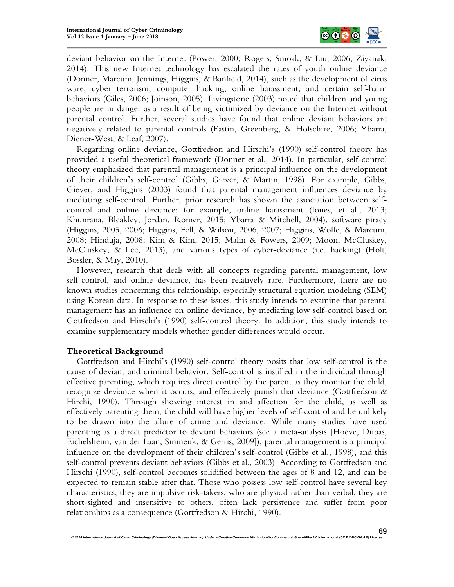

deviant behavior on the Internet (Power, 2000; Rogers, Smoak, & Liu, 2006; Ziyanak, 2014). This new Internet technology has escalated the rates of youth online deviance (Donner, Marcum, Jennings, Higgins, & Banfield, 2014), such as the development of virus ware, cyber terrorism, computer hacking, online harassment, and certain self-harm behaviors (Giles, 2006; Joinson, 2005). Livingstone (2003) noted that children and young people are in danger as a result of being victimized by deviance on the Internet without parental control. Further, several studies have found that online deviant behaviors are negatively related to parental controls (Eastin, Greenberg, & Hofschire, 2006; Ybarra, Diener-West, & Leaf, 2007).

Regarding online deviance, Gottfredson and Hirschi's (1990) self-control theory has provided a useful theoretical framework (Donner et al., 2014). In particular, self-control theory emphasized that parental management is a principal influence on the development of their children's self-control (Gibbs, Giever, & Martin, 1998). For example, Gibbs, Giever, and Higgins (2003) found that parental management influences deviance by mediating self-control. Further, prior research has shown the association between selfcontrol and online deviance: for example, online harassment (Jones, et al., 2013; Khunrana, Bleakley, Jordan, Romer, 2015; Ybarra & Mitchell, 2004), software piracy (Higgins, 2005, 2006; Higgins, Fell, & Wilson, 2006, 2007; Higgins, Wolfe, & Marcum, 2008; Hinduja, 2008; Kim & Kim, 2015; Malin & Fowers, 2009; Moon, McCluskey, McCluskey, & Lee, 2013), and various types of cyber-deviance (i.e. hacking) (Holt, Bossler, & May, 2010).

However, research that deals with all concepts regarding parental management, low self-control, and online deviance, has been relatively rare. Furthermore, there are no known studies concerning this relationship, especially structural equation modeling (SEM) using Korean data. In response to these issues, this study intends to examine that parental management has an influence on online deviance, by mediating low self-control based on Gottfredson and Hirschi's (1990) self-control theory. In addition, this study intends to examine supplementary models whether gender differences would occur.

## **Theoretical Background**

Gottfredson and Hirchi's (1990) self-control theory posits that low self-control is the cause of deviant and criminal behavior. Self-control is instilled in the individual through effective parenting, which requires direct control by the parent as they monitor the child, recognize deviance when it occurs, and effectively punish that deviance (Gottfredson & Hirchi, 1990). Through showing interest in and affection for the child, as well as effectively parenting them, the child will have higher levels of self-control and be unlikely to be drawn into the allure of crime and deviance. While many studies have used parenting as a direct predictor to deviant behaviors (see a meta-analysis [Hoeve, Dubas, Eichelsheim, van der Laan, Smmenk, & Gerris, 2009]), parental management is a principal influence on the development of their children's self-control (Gibbs et al., 1998), and this self-control prevents deviant behaviors (Gibbs et al., 2003). According to Gottfredson and Hirschi (1990), self-control becomes solidified between the ages of 8 and 12, and can be expected to remain stable after that. Those who possess low self-control have several key characteristics; they are impulsive risk-takers, who are physical rather than verbal, they are short-sighted and insensitive to others, often lack persistence and suffer from poor relationships as a consequence (Gottfredson & Hirchi, 1990).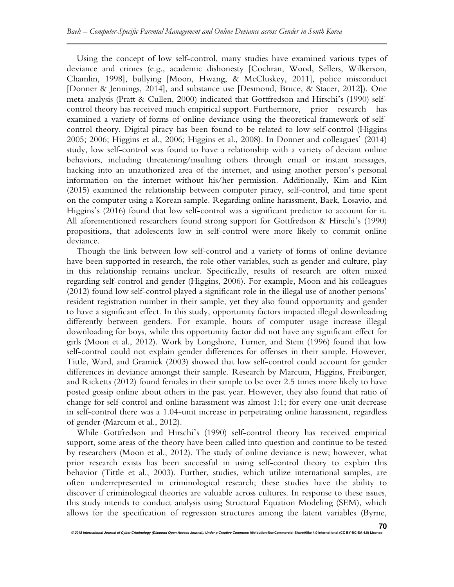Using the concept of low self-control, many studies have examined various types of deviance and crimes (e.g., academic dishonesty [Cochran, Wood, Sellers, Wilkerson, Chamlin, 1998], bullying [Moon, Hwang, & McCluskey, 2011], police misconduct [Donner & Jennings, 2014], and substance use [Desmond, Bruce, & Stacer, 2012]). One meta-analysis (Pratt & Cullen, 2000) indicated that Gottfredson and Hirschi's (1990) selfcontrol theory has received much empirical support. Furthermore, prior research has examined a variety of forms of online deviance using the theoretical framework of selfcontrol theory. Digital piracy has been found to be related to low self-control (Higgins 2005; 2006; Higgins et al., 2006; Higgins et al., 2008). In Donner and colleagues' (2014) study, low self-control was found to have a relationship with a variety of deviant online behaviors, including threatening/insulting others through email or instant messages, hacking into an unauthorized area of the internet, and using another person's personal information on the internet without his/her permission. Additionally, Kim and Kim (2015) examined the relationship between computer piracy, self-control, and time spent on the computer using a Korean sample. Regarding online harassment, Baek, Losavio, and Higgins's (2016) found that low self-control was a significant predictor to account for it. All aforementioned researchers found strong support for Gottfredson & Hirschi's (1990) propositions, that adolescents low in self-control were more likely to commit online deviance.

Though the link between low self-control and a variety of forms of online deviance have been supported in research, the role other variables, such as gender and culture, play in this relationship remains unclear. Specifically, results of research are often mixed regarding self-control and gender (Higgins, 2006). For example, Moon and his colleagues (2012) found low self-control played a significant role in the illegal use of another persons' resident registration number in their sample, yet they also found opportunity and gender to have a significant effect. In this study, opportunity factors impacted illegal downloading differently between genders. For example, hours of computer usage increase illegal downloading for boys, while this opportunity factor did not have any significant effect for girls (Moon et al., 2012). Work by Longshore, Turner, and Stein (1996) found that low self-control could not explain gender differences for offenses in their sample. However, Tittle, Ward, and Gramick (2003) showed that low self-control could account for gender differences in deviance amongst their sample. Research by Marcum, Higgins, Freiburger, and Ricketts (2012) found females in their sample to be over 2.5 times more likely to have posted gossip online about others in the past year. However, they also found that ratio of change for self-control and online harassment was almost 1:1; for every one-unit decrease in self-control there was a 1.04-unit increase in perpetrating online harassment, regardless of gender (Marcum et al., 2012).

While Gottfredson and Hirschi's (1990) self-control theory has received empirical support, some areas of the theory have been called into question and continue to be tested by researchers (Moon et al., 2012). The study of online deviance is new; however, what prior research exists has been successful in using self-control theory to explain this behavior (Tittle et al., 2003). Further, studies, which utilize international samples, are often underrepresented in criminological research; these studies have the ability to discover if criminological theories are valuable across cultures. In response to these issues, this study intends to conduct analysis using Structural Equation Modeling (SEM), which allows for the specification of regression structures among the latent variables (Byrne,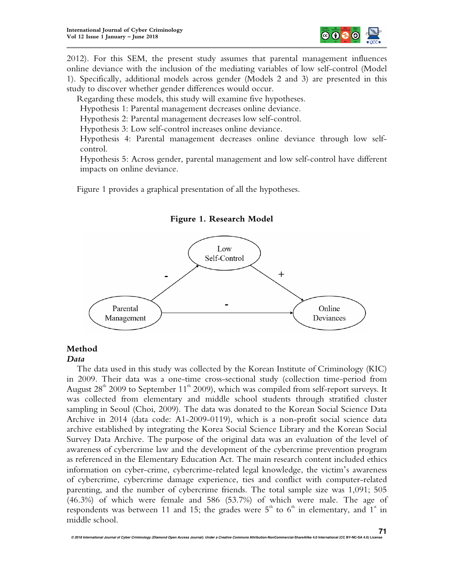

2012). For this SEM, the present study assumes that parental management influences online deviance with the inclusion of the mediating variables of low self-control (Model 1). Specifically, additional models across gender (Models 2 and 3) are presented in this study to discover whether gender differences would occur.

Regarding these models, this study will examine five hypotheses.

Hypothesis 1: Parental management decreases online deviance.

Hypothesis 2: Parental management decreases low self-control.

Hypothesis 3: Low self-control increases online deviance.

Hypothesis 4: Parental management decreases online deviance through low selfcontrol.

Hypothesis 5: Across gender, parental management and low self-control have different impacts on online deviance.

Figure 1 provides a graphical presentation of all the hypotheses.



**Figure 1. Research Model** 

# **Method**

## *Data*

The data used in this study was collected by the Korean Institute of Criminology (KIC) in 2009. Their data was a one-time cross-sectional study (collection time-period from August  $28<sup>th</sup>$  2009 to September 11<sup>th</sup> 2009), which was compiled from self-report surveys. It was collected from elementary and middle school students through stratified cluster sampling in Seoul (Choi, 2009). The data was donated to the Korean Social Science Data Archive in 2014 (data code: A1-2009-0119), which is a non-profit social science data archive established by integrating the Korea Social Science Library and the Korean Social Survey Data Archive. The purpose of the original data was an evaluation of the level of awareness of cybercrime law and the development of the cybercrime prevention program as referenced in the Elementary Education Act. The main research content included ethics information on cyber-crime, cybercrime-related legal knowledge, the victim's awareness of cybercrime, cybercrime damage experience, ties and conflict with computer-related parenting, and the number of cybercrime friends. The total sample size was 1,091; 505 (46.3%) of which were female and 586 (53.7%) of which were male. The age of respondents was between 11 and 15; the grades were 5<sup>th</sup> to 6<sup>th</sup> in elementary, and 1<sup>st</sup> in middle school.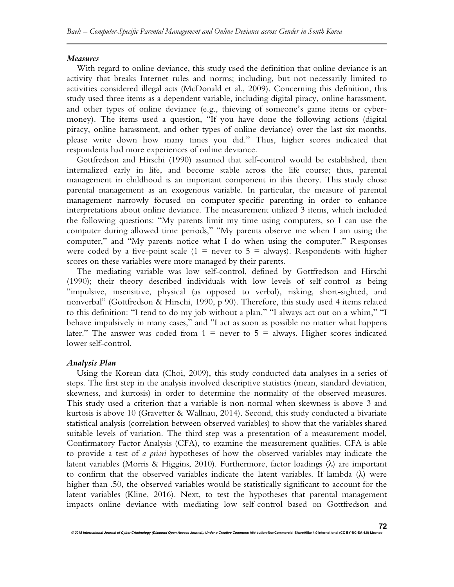#### *Measures*

With regard to online deviance, this study used the definition that online deviance is an activity that breaks Internet rules and norms; including, but not necessarily limited to activities considered illegal acts (McDonald et al., 2009). Concerning this definition, this study used three items as a dependent variable, including digital piracy, online harassment, and other types of online deviance (e.g., thieving of someone's game items or cybermoney). The items used a question, "If you have done the following actions (digital piracy, online harassment, and other types of online deviance) over the last six months, please write down how many times you did." Thus, higher scores indicated that respondents had more experiences of online deviance.

Gottfredson and Hirschi (1990) assumed that self-control would be established, then internalized early in life, and become stable across the life course; thus, parental management in childhood is an important component in this theory. This study chose parental management as an exogenous variable. In particular, the measure of parental management narrowly focused on computer-specific parenting in order to enhance interpretations about online deviance. The measurement utilized 3 items, which included the following questions: "My parents limit my time using computers, so I can use the computer during allowed time periods," "My parents observe me when I am using the computer," and "My parents notice what I do when using the computer." Responses were coded by a five-point scale  $(1 =$  never to  $5 =$  always). Respondents with higher scores on these variables were more managed by their parents.

The mediating variable was low self-control, defined by Gottfredson and Hirschi (1990); their theory described individuals with low levels of self-control as being "impulsive, insensitive, physical (as opposed to verbal), risking, short-sighted, and nonverbal" (Gottfredson & Hirschi, 1990, p 90). Therefore, this study used 4 items related to this definition: "I tend to do my job without a plan," "I always act out on a whim," "I behave impulsively in many cases," and "I act as soon as possible no matter what happens later." The answer was coded from  $1 =$  never to  $5 =$  always. Higher scores indicated lower self-control.

#### *Analysis Plan*

Using the Korean data (Choi, 2009), this study conducted data analyses in a series of steps. The first step in the analysis involved descriptive statistics (mean, standard deviation, skewness, and kurtosis) in order to determine the normality of the observed measures. This study used a criterion that a variable is non-normal when skewness is above 3 and kurtosis is above 10 (Gravetter & Wallnau, 2014). Second, this study conducted a bivariate statistical analysis (correlation between observed variables) to show that the variables shared suitable levels of variation. The third step was a presentation of a measurement model, Confirmatory Factor Analysis (CFA), to examine the measurement qualities. CFA is able to provide a test of *a priori* hypotheses of how the observed variables may indicate the latent variables (Morris & Higgins, 2010). Furthermore, factor loadings  $(\lambda)$  are important to confirm that the observed variables indicate the latent variables. If lambda (λ) were higher than .50, the observed variables would be statistically significant to account for the latent variables (Kline, 2016). Next, to test the hypotheses that parental management impacts online deviance with mediating low self-control based on Gottfredson and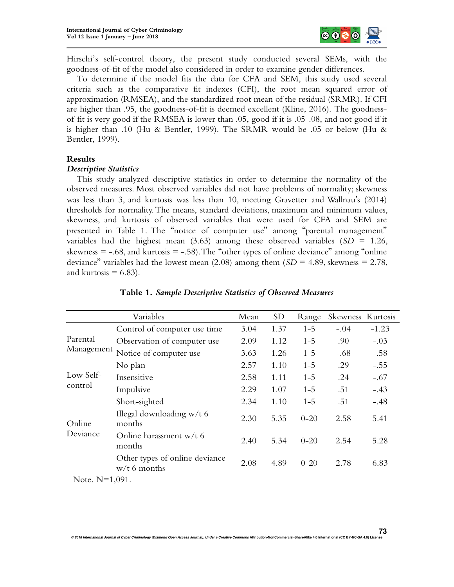

Hirschi's self-control theory, the present study conducted several SEMs, with the goodness-of-fit of the model also considered in order to examine gender differences.

To determine if the model fits the data for CFA and SEM, this study used several criteria such as the comparative fit indexes (CFI), the root mean squared error of approximation (RMSEA), and the standardized root mean of the residual (SRMR). If CFI are higher than .95, the goodness-of-fit is deemed excellent (Kline, 2016). The goodnessof-fit is very good if the RMSEA is lower than .05, good if it is .05-.08, and not good if it is higher than .10 (Hu & Bentler, 1999). The SRMR would be .05 or below (Hu & Bentler, 1999).

## **Results**

#### *Descriptive Statistics*

This study analyzed descriptive statistics in order to determine the normality of the observed measures. Most observed variables did not have problems of normality; skewness was less than 3, and kurtosis was less than 10, meeting Gravetter and Wallnau's (2014) thresholds for normality. The means, standard deviations, maximum and minimum values, skewness, and kurtosis of observed variables that were used for CFA and SEM are presented in Table 1. The "notice of computer use" among "parental management" variables had the highest mean  $(3.63)$  among these observed variables  $(SD = 1.26,$ skewness  $= -0.68$ , and kurtosis  $= -0.58$ . The "other types of online deviance" among "online" deviance" variables had the lowest mean  $(2.08)$  among them  $(SD = 4.89)$ , skewness = 2.78, and kurtosis  $= 6.83$ ).

|                      | Mean                                             | <b>SD</b> | Range | Skewness Kurtosis |        |         |
|----------------------|--------------------------------------------------|-----------|-------|-------------------|--------|---------|
|                      | Control of computer use time                     | 3.04      | 1.37  | $1 - 5$           | $-.04$ | $-1.23$ |
| Parental             | Observation of computer use                      | 2.09      | 1.12  | $1 - 5$           | .90    | $-.03$  |
| Management           | Notice of computer use                           | 3.63      | 1.26  | $1 - 5$           | $-.68$ | $-.58$  |
|                      | No plan                                          | 2.57      | 1.10  | $1 - 5$           | .29    | $-.55$  |
| Low Self-<br>control | Insensitive                                      | 2.58      | 1.11  | $1 - 5$           | .24    | $-.67$  |
|                      | Impulsive                                        | 2.29      | 1.07  | $1 - 5$           | .51    | $-.43$  |
| Online<br>Deviance   | Short-sighted                                    | 2.34      | 1.10  | $1 - 5$           | .51    | $-.48$  |
|                      | Illegal downloading $w/t$ 6<br>months            | 2.30      | 5.35  | $0 - 20$          | 2.58   | 5.41    |
|                      | Online harassment w/t 6<br>months                | 2.40      | 5.34  | $0 - 20$          | 2.54   | 5.28    |
|                      | Other types of online deviance<br>$w/t$ 6 months | 2.08      | 4.89  | $0 - 20$          | 2.78   | 6.83    |

**© 2018 International Journal of Cyber Criminology (Diamond Open Access Journal). Under a Creative Commons Attribution-NonCommercial-ShareAlike 4.0 International (CC BY-NC-SA 4.0) License** 

### **Table 1.** *Sample Descriptive Statistics of Observed Measures*

Note. N=1,091.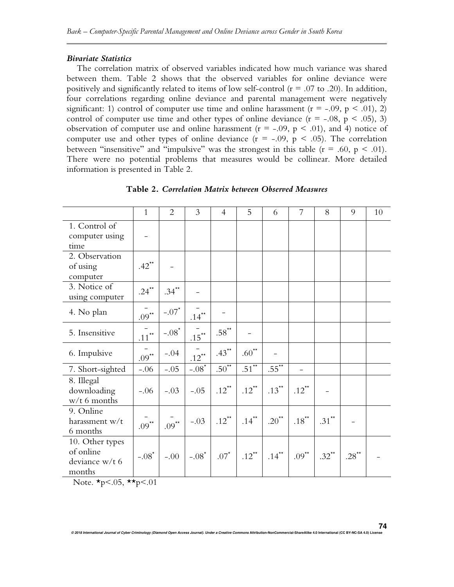#### *Bivariate Statistics*

The correlation matrix of observed variables indicated how much variance was shared between them. Table 2 shows that the observed variables for online deviance were positively and significantly related to items of low self-control ( $r = .07$  to .20). In addition, four correlations regarding online deviance and parental management were negatively significant: 1) control of computer use time and online harassment ( $r = -0.09$ ,  $p \le 0.01$ ), 2) control of computer use time and other types of online deviance  $(r = -.08, p < .05)$ , 3) observation of computer use and online harassment ( $r = -0.09$ ,  $p < 0.01$ ), and 4) notice of computer use and other types of online deviance  $(r = -.09, p < .05)$ . The correlation between "insensitive" and "impulsive" was the strongest in this table  $(r = .60, p < .01)$ . There were no potential problems that measures would be collinear. More detailed information is presented in Table 2.

|                                                          | $\mathbf{1}$        | $\overline{2}$      | 3                   | $\overline{4}$      | 5                   | 6                   | 7                   | 8                   | 9                   | 10 |
|----------------------------------------------------------|---------------------|---------------------|---------------------|---------------------|---------------------|---------------------|---------------------|---------------------|---------------------|----|
| 1. Control of<br>computer using<br>time                  |                     |                     |                     |                     |                     |                     |                     |                     |                     |    |
| 2. Observation<br>of using<br>computer                   | $.42$ <sup>**</sup> |                     |                     |                     |                     |                     |                     |                     |                     |    |
| 3. Notice of<br>using computer                           | .24**               | $.34$ <sup>**</sup> |                     |                     |                     |                     |                     |                     |                     |    |
| 4. No plan                                               | $.09***$            | $-.07*$             | $.14$ <sup>**</sup> |                     |                     |                     |                     |                     |                     |    |
| 5. Insensitive                                           | $.11$ $\!\cdot\!$   | $-.08^{\star}$      | $.15***$            | $.58^{\star\star}$  |                     |                     |                     |                     |                     |    |
| 6. Impulsive                                             | $.09***$            | $-.04$              | $.12$ <sup>**</sup> | $.43$ <sup>**</sup> | $.60^{\star\star}$  |                     |                     |                     |                     |    |
| 7. Short-sighted                                         | $-.06$              | $-.05$              | $-.08*$             | $.50^{**}$          | $.51^{**}$          | $.55^{**}$          |                     |                     |                     |    |
| 8. Illegal<br>downloading<br>$w/t$ 6 months              | $-.06$              | $-.03$              | $-.05$              | $.12$ <sup>**</sup> | $.12$ <sup>**</sup> | $.13$ <sup>**</sup> | $.12$ <sup>**</sup> |                     |                     |    |
| 9. Online<br>harassment w/t<br>6 months                  | $.09***$            | $.09***$            | $-.03$              | .12**               | $.14$ <sup>**</sup> | $.20^{\star\star}$  | $.18$ <sup>**</sup> | $.31$ <sup>**</sup> |                     |    |
| 10. Other types<br>of online<br>deviance w/t 6<br>months | $-.08^*$            | $-.00$              | $-.08^{\star}$      | $.07^*$             | $.12$ <sup>**</sup> | $.14$ <sup>**</sup> | $.09$ <sup>**</sup> | $.32$ <sup>**</sup> | $.28$ <sup>**</sup> |    |

**Table 2.** *Correlation Matrix between Observed Measures* 

Note.  $\star_{p} < .05$ ,  $\star_{p} < .01$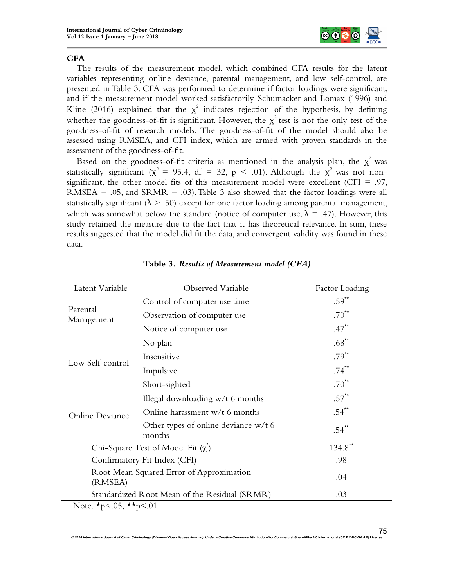

# **CFA**

The results of the measurement model, which combined CFA results for the latent variables representing online deviance, parental management, and low self-control, are presented in Table 3. CFA was performed to determine if factor loadings were significant, and if the measurement model worked satisfactorily. Schumacker and Lomax (1996) and Kline (2016) explained that the  $\chi^2$  indicates rejection of the hypothesis, by defining whether the goodness-of-fit is significant. However, the  $\chi^2$  test is not the only test of the goodness-of-fit of research models. The goodness-of-fit of the model should also be assessed using RMSEA, and CFI index, which are armed with proven standards in the assessment of the goodness-of-fit.

Based on the goodness-of-fit criteria as mentioned in the analysis plan, the  $\chi^2$  was statistically significant ( $\chi^2 = 95.4$ , df = 32, p < .01). Although the  $\chi^2$  was not nonsignificant, the other model fits of this measurement model were excellent (CFI = .97, RMSEA =  $.05$ , and SRMR =  $.03$ ). Table 3 also showed that the factor loadings were all statistically significant ( $\lambda > .50$ ) except for one factor loading among parental management, which was somewhat below the standard (notice of computer use,  $\lambda = .47$ ). However, this study retained the measure due to the fact that it has theoretical relevance. In sum, these results suggested that the model did fit the data, and convergent validity was found in these data.

| Latent Variable                                     | Observed Variable                                | <b>Factor Loading</b> |
|-----------------------------------------------------|--------------------------------------------------|-----------------------|
|                                                     | Control of computer use time                     | $.59$ <sup>**</sup>   |
| Parental<br>Management                              | Observation of computer use                      | $.70^{\star\star}$    |
|                                                     | Notice of computer use                           | $.47$ <sup>**</sup>   |
|                                                     | No plan                                          | $.68$ <sup>**</sup>   |
| Low Self-control                                    | Insensitive                                      | $.79***$              |
|                                                     | Impulsive                                        | $.74$ <sup>**</sup>   |
|                                                     | Short-sighted                                    | $.70^{**}$            |
|                                                     | Illegal downloading $w/t$ 6 months               | $.57$ <sup>**</sup>   |
| Online Deviance                                     | Online harassment w/t 6 months                   | $.54$ <sup>**</sup>   |
|                                                     | Other types of online deviance $w/t$ 6<br>months | $.54$ <sup>**</sup>   |
|                                                     | Chi-Square Test of Model Fit $(\chi^2)$          | $134.8$ **            |
| Confirmatory Fit Index (CFI)                        | .98                                              |                       |
| Root Mean Squared Error of Approximation<br>(RMSEA) | .04                                              |                       |
|                                                     | Standardized Root Mean of the Residual (SRMR)    | .03                   |
| Note. $\star p < .05$ , $\star \star p < .01$       |                                                  |                       |

# **Table 3.** *Results of Measurement model (CFA)*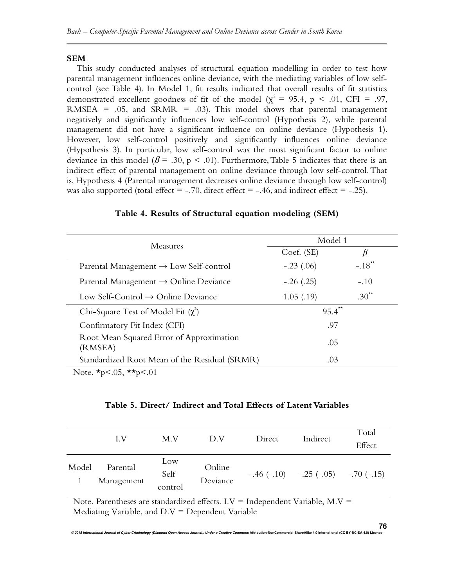## **SEM**

This study conducted analyses of structural equation modelling in order to test how parental management influences online deviance, with the mediating variables of low selfcontrol (see Table 4). In Model 1, fit results indicated that overall results of fit statistics demonstrated excellent goodness-of fit of the model ( $\chi^2$  = 95.4, p < .01, CFI = .97, RMSEA =  $.05$ , and SRMR =  $.03$ ). This model shows that parental management negatively and significantly influences low self-control (Hypothesis 2), while parental management did not have a significant influence on online deviance (Hypothesis 1). However, low self-control positively and significantly influences online deviance (Hypothesis 3). In particular, low self-control was the most significant factor to online deviance in this model ( $\beta$  = .30, p < .01). Furthermore, Table 5 indicates that there is an indirect effect of parental management on online deviance through low self-control. That is, Hypothesis 4 (Parental management decreases online deviance through low self-control) was also supported (total effect  $=$  -.70, direct effect  $=$  -.46, and indirect effect  $=$  -.25).

| Measures                                                     | Model 1              |                      |  |  |
|--------------------------------------------------------------|----------------------|----------------------|--|--|
|                                                              | Coef. (SE)           |                      |  |  |
| Parental Management $\rightarrow$ Low Self-control           | $-.23(.06)$          | $-.18$ <sup>**</sup> |  |  |
| Parental Management $\rightarrow$ Online Deviance            | $-.26(.25)$          | $-.10$               |  |  |
| Low Self-Control $\rightarrow$ Online Deviance               | 1.05(0.19)           | $.30^{**}$           |  |  |
| Chi-Square Test of Model Fit $(\chi^2)$                      | $95.4$ <sup>**</sup> |                      |  |  |
| Confirmatory Fit Index (CFI)                                 | .97                  |                      |  |  |
| Root Mean Squared Error of Approximation<br>(RMSEA)          | .05                  |                      |  |  |
| Standardized Root Mean of the Residual (SRMR)                | .03                  |                      |  |  |
| $N_{\text{obs}}$ $\star$ $\sim$ 05 $\star$ $\star$ $\sim$ 01 |                      |                      |  |  |

#### **Table 4. Results of Structural equation modeling (SEM)**

Note.  $\star p < .05$ ,  $\star \star p < .01$ 

## **Table 5. Direct/ Indirect and Total Effects of Latent Variables**

|       | LV.                    | M.V                     | D.V                | Direct | Indirect                                          | Total<br>Effect |
|-------|------------------------|-------------------------|--------------------|--------|---------------------------------------------------|-----------------|
| Model | Parental<br>Management | Low<br>Self-<br>control | Online<br>Deviance |        | $-.46 (-.10) \quad -.25 (-.05) \quad -.70 (-.15)$ |                 |

Note. Parentheses are standardized effects.  $I.V =$  Independent Variable,  $M.V =$ Mediating Variable, and  $D.V = Dependent Variable$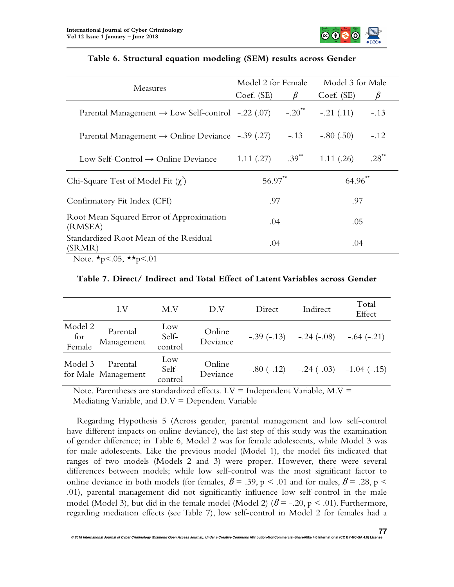

| Measures                                                                                                                                                                              | Model 2 for Female |            | Model 3 for Male      |                    |  |
|---------------------------------------------------------------------------------------------------------------------------------------------------------------------------------------|--------------------|------------|-----------------------|--------------------|--|
|                                                                                                                                                                                       | Coef. (SE)         | B          | Coef. (SE)            | $\beta$            |  |
| Parental Management $\rightarrow$ Low Self-control -.22 (.07) -.20 <sup>**</sup>                                                                                                      |                    |            | $-.21$ (.11)          | $-.13$             |  |
| Parental Management $\rightarrow$ Online Deviance -.39 (.27)                                                                                                                          |                    | $-.13$     | $-.80(.50)$           | $-.12$             |  |
| Low Self-Control $\rightarrow$ Online Deviance                                                                                                                                        | 1.11(.27)          | $.39^{**}$ | 1.11(.26)             | $.28^{\star\star}$ |  |
| Chi-Square Test of Model Fit $(\chi^2)$                                                                                                                                               | $56.97$ **         |            | $64.96$ <sup>**</sup> |                    |  |
| Confirmatory Fit Index (CFI)                                                                                                                                                          | .97                |            | .97                   |                    |  |
| Root Mean Squared Error of Approximation<br>(RMSEA)                                                                                                                                   | .04                |            | .05                   |                    |  |
| Standardized Root Mean of the Residual<br>(SRMR)<br>$\mathbf{M}$ $\mathbf{L}$ $\mathbf{L}$ $\mathbf{A}$ $\mathbf{C}$ $\mathbf{L}$ $\mathbf{L}$ $\mathbf{L}$ $\mathbf{A}$ $\mathbf{A}$ | .04                |            | .04                   |                    |  |

# **Table 6. Structural equation modeling (SEM) results across Gender**

Note.  $\star p < .05$ ,  $\star \star p < .01$ 

**Table 7. Direct/ Indirect and Total Effect of Latent Variables across Gender** 

|                          | $L_{\rm V}$                     | M.V                     | D.V                | Direct       | Indirect                               | Total<br>Effect            |
|--------------------------|---------------------------------|-------------------------|--------------------|--------------|----------------------------------------|----------------------------|
| Model 2<br>for<br>Female | Parental<br>Management          | Low<br>Self-<br>control | Online<br>Deviance |              | $-.39(-.13)$ $-.24(-.08)$ $-.64(-.21)$ |                            |
| Model 3                  | Parental<br>for Male Management | Low<br>Self-<br>control | Online<br>Deviance | $-.80(-.12)$ |                                        | $-.24 (-.03) -1.04 (-.15)$ |

Note. Parentheses are standardized effects.  $I.V =$  Independent Variable,  $M.V =$ Mediating Variable, and  $D.V = Dependent Variable$ 

Regarding Hypothesis 5 (Across gender, parental management and low self-control have different impacts on online deviance), the last step of this study was the examination of gender difference; in Table 6, Model 2 was for female adolescents, while Model 3 was for male adolescents. Like the previous model (Model 1), the model fits indicated that ranges of two models (Models 2 and 3) were proper. However, there were several differences between models; while low self-control was the most significant factor to online deviance in both models (for females,  $\beta = .39$ , p < .01 and for males,  $\beta = .28$ , p < .01), parental management did not significantly influence low self-control in the male model (Model 3), but did in the female model (Model 2) ( $\beta$  = -.20, p < .01). Furthermore, regarding mediation effects (see Table 7), low self-control in Model 2 for females had a

**77**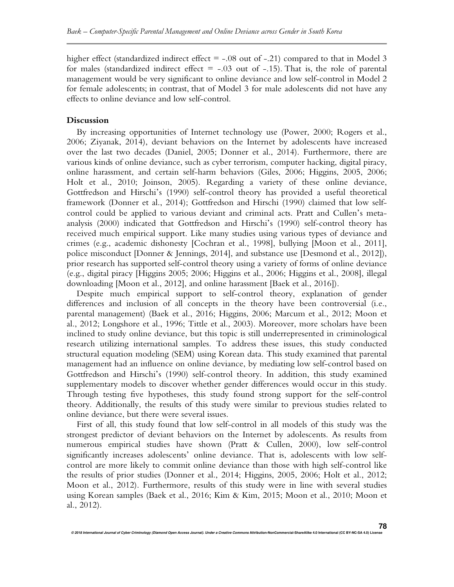higher effect (standardized indirect effect  $=$  -.08 out of -.21) compared to that in Model 3 for males (standardized indirect effect  $=$  -.03 out of -.15). That is, the role of parental management would be very significant to online deviance and low self-control in Model 2 for female adolescents; in contrast, that of Model 3 for male adolescents did not have any effects to online deviance and low self-control.

#### **Discussion**

By increasing opportunities of Internet technology use (Power, 2000; Rogers et al., 2006; Ziyanak, 2014), deviant behaviors on the Internet by adolescents have increased over the last two decades (Daniel, 2005; Donner et al., 2014). Furthermore, there are various kinds of online deviance, such as cyber terrorism, computer hacking, digital piracy, online harassment, and certain self-harm behaviors (Giles, 2006; Higgins, 2005, 2006; Holt et al., 2010; Joinson, 2005). Regarding a variety of these online deviance, Gottfredson and Hirschi's (1990) self-control theory has provided a useful theoretical framework (Donner et al., 2014); Gottfredson and Hirschi (1990) claimed that low selfcontrol could be applied to various deviant and criminal acts. Pratt and Cullen's metaanalysis (2000) indicated that Gottfredson and Hirschi's (1990) self-control theory has received much empirical support. Like many studies using various types of deviance and crimes (e.g., academic dishonesty [Cochran et al., 1998], bullying [Moon et al., 2011], police misconduct [Donner & Jennings, 2014], and substance use [Desmond et al., 2012]), prior research has supported self-control theory using a variety of forms of online deviance (e.g., digital piracy [Higgins 2005; 2006; Higgins et al., 2006; Higgins et al., 2008], illegal downloading [Moon et al., 2012], and online harassment [Baek et al., 2016]).

Despite much empirical support to self-control theory, explanation of gender differences and inclusion of all concepts in the theory have been controversial (i.e., parental management) (Baek et al., 2016; Higgins, 2006; Marcum et al., 2012; Moon et al., 2012; Longshore et al., 1996; Tittle et al., 2003). Moreover, more scholars have been inclined to study online deviance, but this topic is still underrepresented in criminological research utilizing international samples. To address these issues, this study conducted structural equation modeling (SEM) using Korean data. This study examined that parental management had an influence on online deviance, by mediating low self-control based on Gottfredson and Hirschi's (1990) self-control theory. In addition, this study examined supplementary models to discover whether gender differences would occur in this study. Through testing five hypotheses, this study found strong support for the self-control theory. Additionally, the results of this study were similar to previous studies related to online deviance, but there were several issues.

First of all, this study found that low self-control in all models of this study was the strongest predictor of deviant behaviors on the Internet by adolescents. As results from numerous empirical studies have shown (Pratt & Cullen, 2000), low self-control significantly increases adolescents' online deviance. That is, adolescents with low selfcontrol are more likely to commit online deviance than those with high self-control like the results of prior studies (Donner et al., 2014; Higgins, 2005, 2006; Holt et al., 2012; Moon et al., 2012). Furthermore, results of this study were in line with several studies using Korean samples (Baek et al., 2016; Kim & Kim, 2015; Moon et al., 2010; Moon et al., 2012).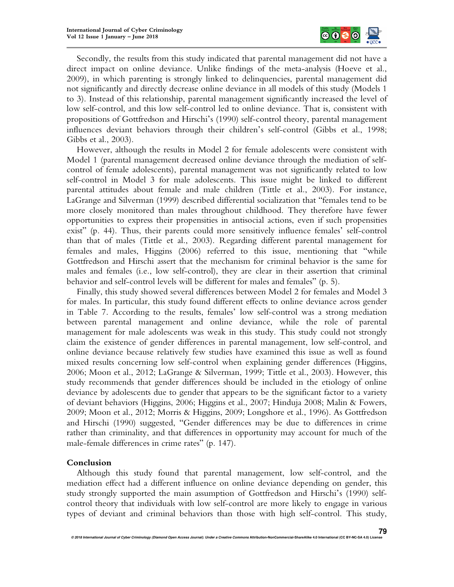

Secondly, the results from this study indicated that parental management did not have a direct impact on online deviance. Unlike findings of the meta-analysis (Hoeve et al., 2009), in which parenting is strongly linked to delinquencies, parental management did not significantly and directly decrease online deviance in all models of this study (Models 1 to 3). Instead of this relationship, parental management significantly increased the level of low self-control, and this low self-control led to online deviance. That is, consistent with propositions of Gottfredson and Hirschi's (1990) self-control theory, parental management influences deviant behaviors through their children's self-control (Gibbs et al., 1998; Gibbs et al., 2003).

However, although the results in Model 2 for female adolescents were consistent with Model 1 (parental management decreased online deviance through the mediation of selfcontrol of female adolescents), parental management was not significantly related to low self-control in Model 3 for male adolescents. This issue might be linked to different parental attitudes about female and male children (Tittle et al., 2003). For instance, LaGrange and Silverman (1999) described differential socialization that "females tend to be more closely monitored than males throughout childhood. They therefore have fewer opportunities to express their propensities in antisocial actions, even if such propensities exist" (p. 44). Thus, their parents could more sensitively influence females' self-control than that of males (Tittle et al., 2003). Regarding different parental management for females and males, Higgins (2006) referred to this issue, mentioning that "while Gottfredson and Hirschi assert that the mechanism for criminal behavior is the same for males and females (i.e., low self-control), they are clear in their assertion that criminal behavior and self-control levels will be different for males and females" (p. 5).

Finally, this study showed several differences between Model 2 for females and Model 3 for males. In particular, this study found different effects to online deviance across gender in Table 7. According to the results, females' low self-control was a strong mediation between parental management and online deviance, while the role of parental management for male adolescents was weak in this study. This study could not strongly claim the existence of gender differences in parental management, low self-control, and online deviance because relatively few studies have examined this issue as well as found mixed results concerning low self-control when explaining gender differences (Higgins, 2006; Moon et al., 2012; LaGrange & Silverman, 1999; Tittle et al., 2003). However, this study recommends that gender differences should be included in the etiology of online deviance by adolescents due to gender that appears to be the significant factor to a variety of deviant behaviors (Higgins, 2006; Higgins et al., 2007; Hinduja 2008; Malin & Fowers, 2009; Moon et al., 2012; Morris & Higgins, 2009; Longshore et al., 1996). As Gottfredson and Hirschi (1990) suggested, "Gender differences may be due to differences in crime rather than criminality, and that differences in opportunity may account for much of the male-female differences in crime rates" (p. 147).

# **Conclusion**

Although this study found that parental management, low self-control, and the mediation effect had a different influence on online deviance depending on gender, this study strongly supported the main assumption of Gottfredson and Hirschi's (1990) selfcontrol theory that individuals with low self-control are more likely to engage in various types of deviant and criminal behaviors than those with high self-control. This study,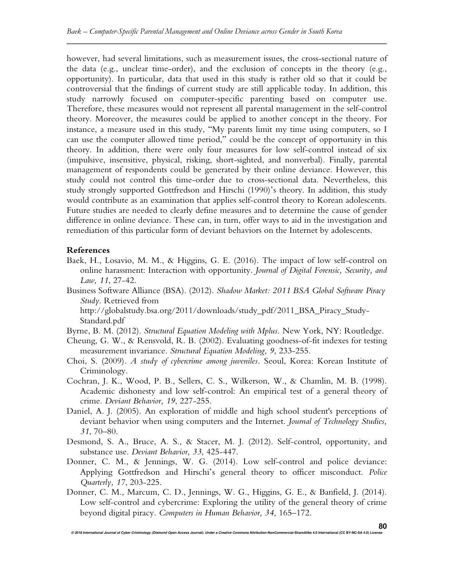however, had several limitations, such as measurement issues, the cross-sectional nature of the data (e.g., unclear time-order), and the exclusion of concepts in the theory (e.g., opportunity). In particular, data that used in this study is rather old so that it could be controversial that the findings of current study are still applicable today. In addition, this study narrowly focused on computer-specific parenting based on computer use. Therefore, these measures would not represent all parental management in the self-control theory. Moreover, the measures could be applied to another concept in the theory. For instance, a measure used in this study, "My parents limit my time using computers, so I can use the computer allowed time period," could be the concept of opportunity in this theory. In addition, there were only four measures for low self-control instead of six (impulsive, insensitive, physical, risking, short-sighted, and nonverbal). Finally, parental management of respondents could be generated by their online deviance. However, this study could not control this time-order due to cross-sectional data. Nevertheless, this study strongly supported Gottfredson and Hirschi (1990)'s theory. In addition, this study would contribute as an examination that applies self-control theory to Korean adolescents. Future studies are needed to clearly define measures and to determine the cause of gender difference in online deviance. These can, in turn, offer ways to aid in the investigation and remediation of this particular form of deviant behaviors on the Internet by adolescents.

# **References**

- Baek, H., Losavio, M. M., & Higgins, G. E. (2016). The impact of low self-control on online harassment: Interaction with opportunity. *Journal of Digital Forensic, Security, and Law, 11*, 27-42.
- Business Software Alliance (BSA). (2012). *Shadow Market: 2011 BSA Global Software Piracy Study*. Retrieved from http://globalstudy.bsa.org/2011/downloads/study\_pdf/2011\_BSA\_Piracy\_Study-Standard.pdf
- Byrne, B. M. (2012). *Structural Equation Modeling with Mplus.* New York, NY: Routledge.
- Cheung, G. W., & Rensvold, R. B. (2002). Evaluating goodness-of-fit indexes for testing measurement invariance. *Structural Equation Modeling, 9*, 233-255.
- Choi, S. (2009). *A study of cybercrime among juveniles.* Seoul, Korea: Korean Institute of Criminology.
- Cochran, J. K., Wood, P. B., Sellers, C. S., Wilkerson, W., & Chamlin, M. B. (1998). Academic dishonesty and low self-control: An empirical test of a general theory of crime. *Deviant Behavior, 19*, 227-255.
- Daniel, A. J. (2005). An exploration of middle and high school student's perceptions of deviant behavior when using computers and the Internet. *Journal of Technology Studies, 31*, 70–80.
- Desmond, S. A., Bruce, A. S., & Stacer, M. J. (2012). Self-control, opportunity, and substance use. *Deviant Behavior, 33*, 425-447.
- Donner, C. M., & Jennings, W. G. (2014). Low self-control and police deviance: Applying Gottfredson and Hirschi's general theory to officer misconduct. *Police Quarterly, 17*, 203-225.
- Donner, C. M., Marcum, C. D., Jennings, W. G., Higgins, G. E., & Banfield, J. (2014). Low self-control and cybercrime: Exploring the utility of the general theory of crime beyond digital piracy. *Computers in Human Behavior, 34,* 165–172.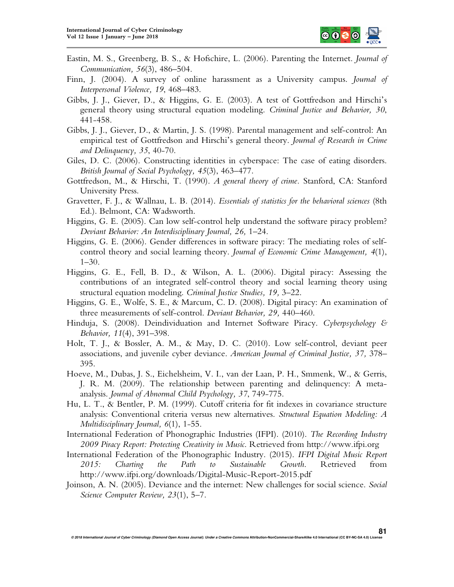

- Eastin, M. S., Greenberg, B. S., & Hofschire, L. (2006). Parenting the Internet. *Journal of Communication, 56*(3), 486–504.
- Finn, J. (2004). A survey of online harassment as a University campus. *Journal of Interpersonal Violence, 19*, 468–483.
- Gibbs, J. J., Giever, D., & Higgins, G. E. (2003). A test of Gottfredson and Hirschi's general theory using structural equation modeling. *Criminal Justice and Behavior, 30*, 441-458.
- Gibbs, J. J., Giever, D., & Martin, J. S. (1998). Parental management and self-control: An empirical test of Gottfredson and Hirschi's general theory. *Journal of Research in Crime and Delinquency, 35*, 40-70.
- Giles, D. C. (2006). Constructing identities in cyberspace: The case of eating disorders. *British Journal of Social Psychology, 45*(3), 463–477.
- Gottfredson, M., & Hirschi, T. (1990). *A general theory of crime.* Stanford, CA: Stanford University Press.
- Gravetter, F. J., & Wallnau, L. B. (2014). *Essentials of statistics for the behavioral sciences* (8th Ed.). Belmont, CA: Wadsworth.
- Higgins, G. E. (2005). Can low self-control help understand the software piracy problem? *Deviant Behavior: An Interdisciplinary Journal, 26,* 1–24.
- Higgins, G. E. (2006). Gender differences in software piracy: The mediating roles of selfcontrol theory and social learning theory. *Journal of Economic Crime Management, 4*(1),  $1 - 30$ .
- Higgins, G. E., Fell, B. D., & Wilson, A. L. (2006). Digital piracy: Assessing the contributions of an integrated self-control theory and social learning theory using structural equation modeling. *Criminal Justice Studies, 19,* 3–22.
- Higgins, G. E., Wolfe, S. E., & Marcum, C. D. (2008). Digital piracy: An examination of three measurements of self-control. *Deviant Behavior, 29,* 440–460.
- Hinduja, S. (2008). Deindividuation and Internet Software Piracy. *Cyberpsychology & Behavior, 11*(4), 391–398.
- Holt, T. J., & Bossler, A. M., & May, D. C. (2010). Low self-control, deviant peer associations, and juvenile cyber deviance. *American Journal of Criminal Justice, 37,* 378– 395.
- Hoeve, M., Dubas, J. S., Eichelsheim, V. I., van der Laan, P. H., Smmenk, W., & Gerris, J. R. M. (2009). The relationship between parenting and delinquency: A metaanalysis. *Journal of Abnormal Child Psychology, 37*, 749-775.
- Hu, L. T., & Bentler, P. M. (1999). Cutoff criteria for fit indexes in covariance structure analysis: Conventional criteria versus new alternatives. *Structural Equation Modeling: A Multidisciplinary Journal, 6*(1), 1-55.
- International Federation of Phonographic Industries (IFPI). (2010). *The Recording Industry 2009 Piracy Report: Protecting Creativity in Music*. Retrieved from http://www.ifpi.org
- International Federation of the Phonographic Industry. (2015). *IFPI Digital Music Report 2015: Charting the Path to Sustainable Growth*. Retrieved from http://www.ifpi.org/downloads/Digital-Music-Report-2015.pdf
- Joinson, A. N. (2005). Deviance and the internet: New challenges for social science. *Social Science Computer Review, 23*(1), 5–7.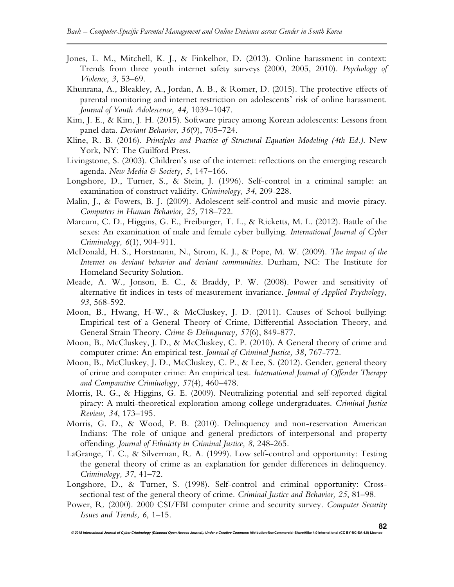- Jones, L. M., Mitchell, K. J., & Finkelhor, D. (2013). Online harassment in context: Trends from three youth internet safety surveys (2000, 2005, 2010). *Psychology of Violence, 3,* 53–69.
- Khunrana, A., Bleakley, A., Jordan, A. B., & Romer, D. (2015). The protective effects of parental monitoring and internet restriction on adolescents' risk of online harassment. *Journal of Youth Adolescence, 44,* 1039–1047.
- Kim, J. E., & Kim, J. H. (2015). Software piracy among Korean adolescents: Lessons from panel data. *Deviant Behavior, 36*(9), 705–724.
- Kline, R. B. (2016). *Principles and Practice of Structural Equation Modeling (4th Ed.)*. New York, NY: The Guilford Press.
- Livingstone, S. (2003). Children's use of the internet: reflections on the emerging research agenda. *New Media & Society, 5*, 147–166.
- Longshore, D., Turner, S., & Stein, J. (1996). Self-control in a criminal sample: an examination of construct validity. *Criminology, 34*, 209-228.
- Malin, J., & Fowers, B. J. (2009). Adolescent self-control and music and movie piracy. *Computers in Human Behavior, 25,* 718–722.
- Marcum, C. D., Higgins, G. E., Freiburger, T. L., & Ricketts, M. L. (2012). Battle of the sexes: An examination of male and female cyber bullying. *International Journal of Cyber Criminology, 6*(1), 904-911.
- McDonald, H. S., Horstmann, N., Strom, K. J., & Pope, M. W. (2009). *The impact of the Internet on deviant behavior and deviant communities*. Durham, NC: The Institute for Homeland Security Solution.
- Meade, A. W., Jonson, E. C., & Braddy, P. W. (2008). Power and sensitivity of alternative fit indices in tests of measurement invariance. *Journal of Applied Psychology, 93*, 568-592.
- Moon, B., Hwang, H-W., & McCluskey, J. D. (2011). Causes of School bullying: Empirical test of a General Theory of Crime, Differential Association Theory, and General Strain Theory. *Crime & Delinquency, 57*(6), 849-877.
- Moon, B., McCluskey, J. D., & McCluskey, C. P. (2010). A General theory of crime and computer crime: An empirical test. *Journal of Criminal Justice, 38,* 767-772.
- Moon, B., McCluskey, J. D., McCluskey, C. P., & Lee, S. (2012). Gender, general theory of crime and computer crime: An empirical test. *International Journal of Offender Therapy and Comparative Criminology, 57*(4), 460–478.
- Morris, R. G., & Higgins, G. E. (2009). Neutralizing potential and self-reported digital piracy: A multi-theoretical exploration among college undergraduates. *Criminal Justice Review, 34*, 173–195.
- Morris, G. D., & Wood, P. B. (2010). Delinquency and non-reservation American Indians: The role of unique and general predictors of interpersonal and property offending. *Journal of Ethnicity in Criminal Justice, 8*, 248-265.
- LaGrange, T. C., & Silverman, R. A. (1999). Low self-control and opportunity: Testing the general theory of crime as an explanation for gender differences in delinquency. *Criminology, 37*, 41–72.
- Longshore, D., & Turner, S. (1998). Self-control and criminal opportunity: Crosssectional test of the general theory of crime. *Criminal Justice and Behavior, 25*, 81–98.
- Power, R. (2000). 2000 CSI/FBI computer crime and security survey. *Computer Security Issues and Trends, 6,* 1–15.